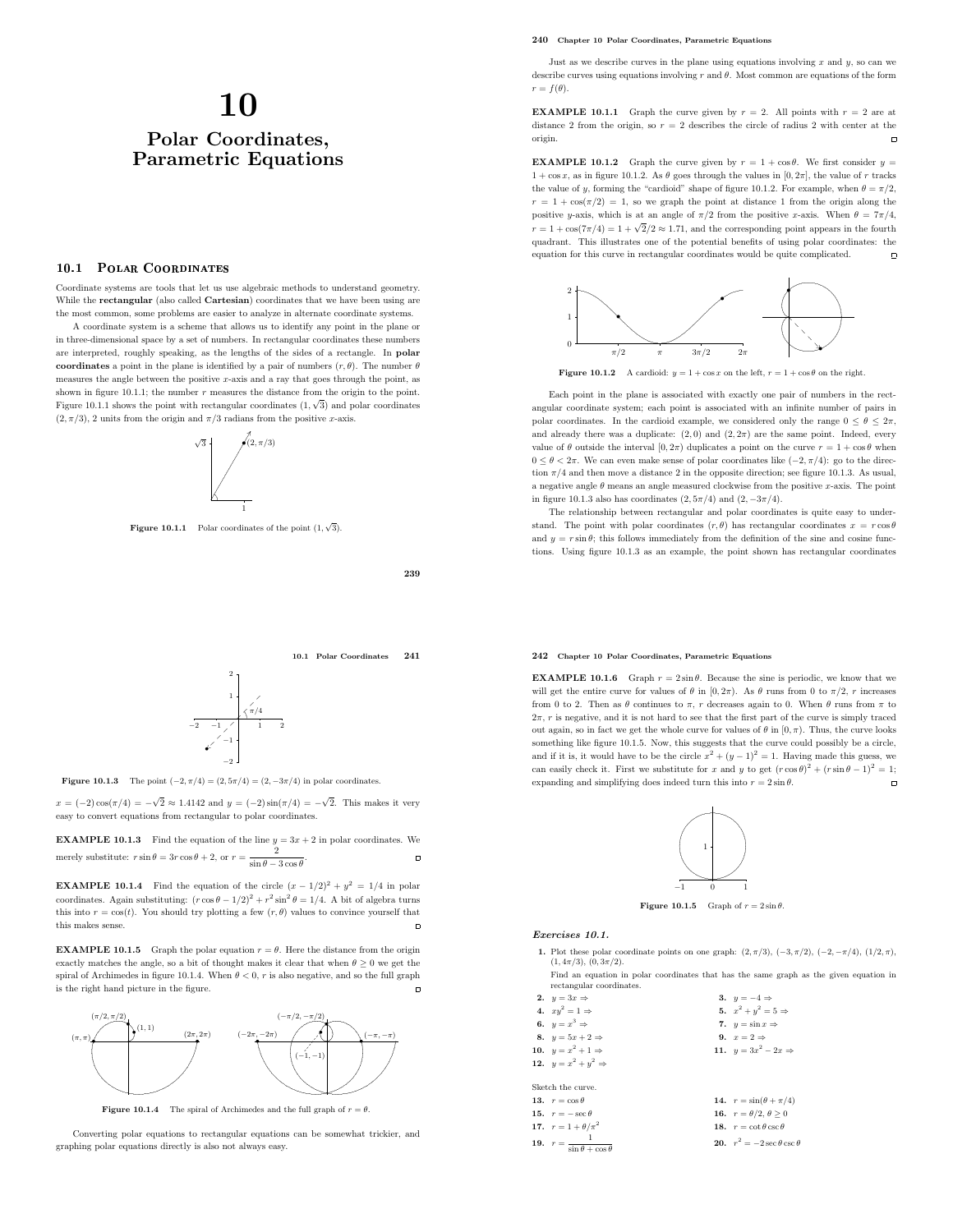# 10 Polar Coordinates, Parametric Equations

# 10.1 Polar Coordinates

Coordinate systems are tools that let us use algebraic methods to understand geometry. While the **rectangular** (also called **Cartesian**) coordinates that we have been using are the most common, some problems are easier to analyze in alternate coordinate systems.

A coordinate system is a scheme that allows us to identify any point in the plane or in three-dimensional space by a set of numbers. In rectangular coordinates these numbers are interpreted, roughly speaking, as the lengths of the sides of a rectangle. In polar coordinates a point in the plane is identified by a pair of numbers  $(r, \theta)$ . The number  $\theta$ measures the angle between the positive  $x$ -axis and a ray that goes through the point, as shown in figure 10.1.1; the number  $r$  measures the distance from the origin to the point. Figure 10.1.1 shows the point with rectangular coordinates  $(1, \sqrt{3})$  and polar coordinates  $(2, \pi/3)$ , 2 units from the origin and  $\pi/3$  radians from the positive x-axis.



**Figure 10.1.1** Polar coordinates of the point  $(1, \sqrt{3})$ .

239

10.1 Polar Coordinates 241



**Figure 10.1.3** The point  $(-2, \pi/4) = (2, 5\pi/4) = (2, -3\pi/4)$  in polar coordinates.

 $x = (-2)\cos(\pi/4) = -\sqrt{2} \approx 1.4142$  and  $y = (-2)\sin(\pi/4) = -\sqrt{2}$ . This makes it very easy to convert equations from rectangular to polar coordinates.

**EXAMPLE 10.1.3** Find the equation of the line  $y = 3x + 2$  in polar coordinates. We merely substitute:  $r \sin \theta = 3r \cos \theta + 2$ , or  $r = \frac{2}{a}$  $\Box$ .  $\sin \theta - 3 \cos \theta$ 

**EXAMPLE 10.1.4** Find the equation of the circle  $(x - 1/2)^2 + y^2 = 1/4$  in polar coordinates. Again substituting:  $(r \cos \theta - 1/2)^2 + r^2 \sin^2 \theta = 1/4$ . A bit of algebra turns this into  $r = \cos(t)$ . You should try plotting a few  $(r, \theta)$  values to convince yourself that this makes sense.  $\blacksquare$ 

**EXAMPLE 10.1.5** Graph the polar equation  $r = \theta$ . Here the distance from the origin exactly matches the angle, so a bit of thought makes it clear that when  $\theta \geq 0$  we get the spiral of Archimedes in figure 10.1.4. When  $\theta < 0, \, r$  is also negative, and so the full graph is the right hand picture in the figure.  $\overline{a}$ 



**Figure 10.1.4** The spiral of Archimedes and the full graph of  $r = \theta$ .

Converting polar equations to rectangular equations can be somewhat trickier, and graphing polar equations directly is also not always easy.

## 240 Chapter 10 Polar Coordinates, Parametric Equations

Just as we describe curves in the plane using equations involving  $x$  and  $y$ , so can we describe curves using equations involving r and  $\theta$ . Most common are equations of the form  $r = f(\theta)$ .

**EXAMPLE 10.1.1** Graph the curve given by  $r = 2$ . All points with  $r = 2$  are at distance 2 from the origin, so  $r = 2$  describes the circle of radius 2 with center at the origin.  $\Box$ 

**EXAMPLE 10.1.2** Graph the curve given by  $r = 1 + \cos \theta$ . We first consider  $y =$  $1 + \cos x$ , as in figure 10.1.2. As  $\theta$  goes through the values in  $[0, 2\pi]$ , the value of r tracks the value of y, forming the "cardioid" shape of figure 10.1.2. For example, when  $\theta = \pi/2$ ,  $r = 1 + \cos(\pi/2) = 1$ , so we graph the point at distance 1 from the origin along the positive y-axis, which is at an angle of  $\pi/2$  from the positive x-axis. When  $\theta = 7\pi/4$ ,  $r = 1 + \cos(7\pi/4) = 1 + \sqrt{2}/2 \approx 1.71$ , and the corresponding point appears in the fourth quadrant. This illustrates one of the potential benefits of using polar coordinates: the equation for this curve in rectangular coordinates would be quite complicated.



Figure 10.1.2 A cardioid:  $y = 1 + \cos x$  on the left,  $r = 1 + \cos \theta$  on the right.

Each point in the plane is associated with exactly one pair of numbers in the rectangular coordinate system; each point is associated with an infinite number of pairs in polar coordinates. In the cardioid example, we considered only the range  $0 \le \theta \le 2\pi$ , and already there was a duplicate:  $(2,0)$  and  $(2,2\pi)$  are the same point. Indeed, every value of  $\theta$  outside the interval  $[0, 2\pi)$  duplicates a point on the curve  $r = 1 + \cos \theta$  when  $0 ≤ θ < 2π$ . We can even make sense of polar coordinates like  $(-2, π/4)$ : go to the direction  $\pi/4$  and then move a distance 2 in the opposite direction; see figure 10.1.3. As usual, a negative angle  $\theta$  means an angle measured clockwise from the positive x-axis. The point in figure 10.1.3 also has coordinates  $(2, 5\pi/4)$  and  $(2, -3\pi/4)$ .

The relationship between rectangular and polar coordinates is quite easy to understand. The point with polar coordinates  $(r, \theta)$  has rectangular coordinates  $x = r \cos \theta$ and  $y = r \sin \theta$ ; this follows immediately from the definition of the sine and cosine functions. Using figure 10.1.3 as an example, the point shown has rectangular coordinates

#### 242 Chapter 10 Polar Coordinates, Parametric Equations

**EXAMPLE 10.1.6** Graph  $r = 2 \sin \theta$ . Because the sine is periodic, we know that we will get the entire curve for values of  $\theta$  in [0,  $2\pi$ ). As  $\theta$  runs from 0 to  $\pi/2$ , r increases from 0 to 2. Then as  $\theta$  continues to  $\pi$ , r decreases again to 0. When  $\theta$  runs from  $\pi$  to  $2\pi$ , r is negative, and it is not hard to see that the first part of the curve is simply traced out again, so in fact we get the whole curve for values of  $\theta$  in  $[0, \pi)$ . Thus, the curve looks something like figure 10.1.5. Now, this suggests that the curve could possibly be a circle, and if it is, it would have to be the circle  $x^2 + (y - 1)^2 = 1$ . Having made this guess, we can easily check it. First we substitute for x and y to get  $(r \cos \theta)^2 + (r \sin \theta - 1)^2 = 1$ ; expanding and simplifying does indeed turn this into  $r = 2 \sin \theta$ .



**Figure 10.1.5** Graph of  $r = 2 \sin \theta$ .

## Exercises 10.1.

| 1. Plot these polar coordinate points on one graph: $(2, \pi/3)$ , $(-3, \pi/2)$ , $(-2, -\pi/4)$ , $(1/2, \pi)$ , |  |
|--------------------------------------------------------------------------------------------------------------------|--|
| $(1, 4\pi/3), (0, 3\pi/2).$                                                                                        |  |

Find an equation in polar coordinates that has the same graph as the given equation in rectangular coordinate

| 2. $y = 3x \Rightarrow$                       | 3. $y = -4 \Rightarrow$                |
|-----------------------------------------------|----------------------------------------|
| 4. $xy^2 = 1 \Rightarrow$                     | 5. $x^2 + y^2 = 5 \Rightarrow$         |
| 6. $y = x^3 \Rightarrow$                      | 7. $y = \sin x \Rightarrow$            |
| 8. $y = 5x + 2 \Rightarrow$                   | 9. $x=2 \Rightarrow$                   |
| 10. $y = x^2 + 1 \Rightarrow$                 | 11. $y = 3x^2 - 2x \Rightarrow$        |
| 12. $y = x^2 + y^2 \Rightarrow$               |                                        |
|                                               |                                        |
| Sketch the curve.                             |                                        |
| 13. $r = \cos \theta$                         | 14. $r = \sin(\theta + \pi/4)$         |
| 15. $r = -\sec \theta$                        | 16. $r = \theta/2, \theta > 0$         |
| 17. $r = 1 + \theta/\pi^2$                    | 18. $r = \cot \theta \csc \theta$      |
| 19. $r = \frac{1}{\sin \theta + \cos \theta}$ | 20. $r^2 = -2 \sec \theta \csc \theta$ |
|                                               |                                        |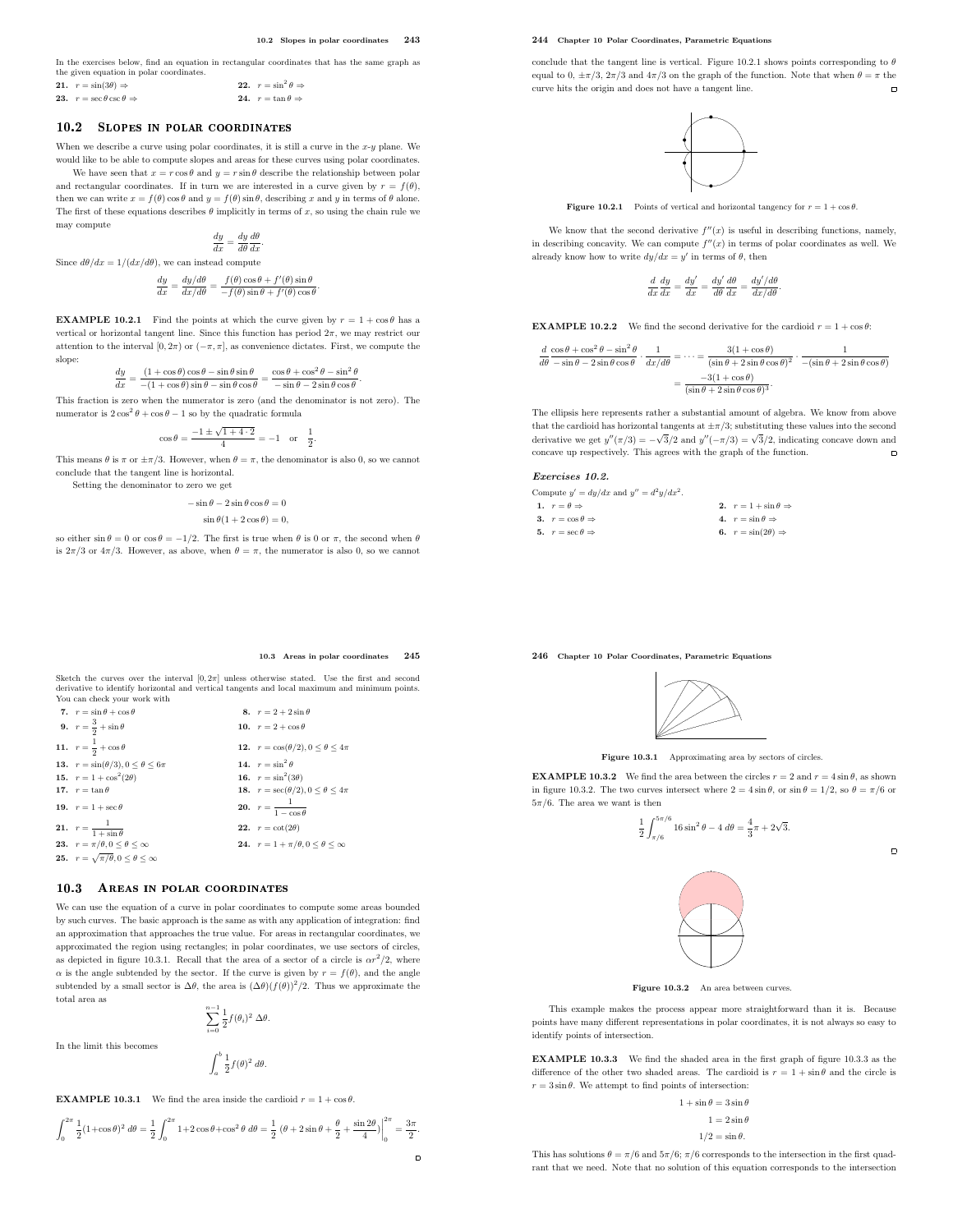In the exercises below, find an equation in rectangular coordinates that has the same graph as the given equation in polar coordinates. 21.  $r = \sin(3\theta) \Rightarrow$ <br>23.  $r = \sec \theta \csc \theta \Rightarrow$ 22.  $r = \sin^2 \theta \Rightarrow$ 

24.  $r = \tan \theta \Rightarrow$ 

## 10.2 SLOPES IN POLAR COORDINATES

When we describe a curve using polar coordinates, it is still a curve in the  $x-y$  plane. We would like to be able to compute slopes and areas for these curves using polar coordinates.

We have seen that  $x = r \cos \theta$  and  $y = r \sin \theta$  describe the relationship between polar and rectangular coordinates. If in turn we are interested in a curve given by  $r = f(\theta)$ , then we can write  $x = f(\theta) \cos \theta$  and  $y = f(\theta) \sin \theta$ , describing x and y in terms of  $\theta$  alone. The first of these equations describes  $\theta$  implicitly in terms of x, so using the chain rule we may compute

$$
\frac{dy}{dx} = \frac{dy}{d\theta} \frac{d\theta}{dx}.
$$

Since  $d\theta/dx = 1/(dx/d\theta)$ , we can instead compute

$$
\frac{dy}{dx}=\frac{dy/d\theta}{dx/d\theta}=\frac{f(\theta)\cos\theta+f'(\theta)\sin\theta}{-f(\theta)\sin\theta+f'(\theta)\cos\theta}.
$$

**EXAMPLE 10.2.1** Find the points at which the curve given by  $r = 1 + \cos \theta$  has a vertical or horizontal tangent line. Since this function has period  $2\pi$ , we may restrict our attention to the interval [0,  $2\pi$ ) or  $(-\pi, \pi]$ , as convenience dictates. First, we compute the slope:

$$
\frac{dy}{dx}=\frac{(1+\cos\theta)\cos\theta-\sin\theta\sin\theta}{-(1+\cos\theta)\sin\theta-\sin\theta\cos\theta}=\frac{\cos\theta+\cos^2\theta-\sin^2\theta}{-\sin\theta-2\sin\theta\cos\theta}.
$$

This fraction is zero when the numerator is zero (and the denominator is not zero). The numerator is  $2\cos^2\theta + \cos\theta - 1$  so by the quadratic formula

$$
\cos \theta = \frac{-1 \pm \sqrt{1 + 4 \cdot 2}}{4} = -1
$$
 or  $\frac{1}{2}$ 

This means  $\theta$  is  $\pi$  or  $\pm \pi/3$ . However, when  $\theta = \pi$ , the denominator is also 0, so we cannot conclude that the tangent line is horizontal.

Setting the denominator to zero we get

 $-\sin \theta - 2 \sin \theta \cos \theta = 0$ 

$$
\sin \theta (1 + 2 \cos \theta) = 0,
$$

so either  $\sin \theta = 0$  or  $\cos \theta = -1/2$ . The first is true when  $\theta$  is 0 or  $\pi$ , the second when  $\theta$ is  $2\pi/3$  or  $4\pi/3$ . However, as above, when  $\theta = \pi$ , the numerator is also 0, so we cannot

## 244 Chapter 10 Polar Coordinates, Parametric Equations

conclude that the tangent line is vertical. Figure 10.2.1 shows points corresponding to  $\theta$ equal to 0,  $\pm \pi/3$ ,  $2\pi/3$  and  $4\pi/3$  on the graph of the function. Note that when  $\theta = \pi$  the curve hits the origin and does not have a tangent line. curve hits the origin and does not have a tangent line.



**Figure 10.2.1** Points of vertical and horizontal tangency for  $r = 1 + \cos \theta$ .

We know that the second derivative  $f''(x)$  is useful in describing functions, namely, in describing concavity. We can compute  $f''(x)$  in terms of polar coordinates as well. We already know how to write  $dy/dx = y'$  in terms of  $\theta$ , then

$$
\frac{d}{dx}\frac{dy}{dx} = \frac{dy'}{dx} = \frac{dy'}{d\theta}\frac{d\theta}{dx} = \frac{dy'/d\theta}{dx/d\theta}.
$$

**EXAMPLE 10.2.2** We find the second derivative for the cardioid  $r = 1 + \cos \theta$ :

| $d \cos \theta + \cos^2 \theta - \sin^2 \theta$                      | $3(1+\cos\theta)$                             |                                                                                            |
|----------------------------------------------------------------------|-----------------------------------------------|--------------------------------------------------------------------------------------------|
| $d\theta - \sin \theta - 2 \sin \theta \cos \theta \quad dx/d\theta$ |                                               | $(\sin \theta + 2 \sin \theta \cos \theta)^2$ $-(\sin \theta + 2 \sin \theta \cos \theta)$ |
|                                                                      | $-3(1+\cos\theta)$                            |                                                                                            |
|                                                                      | $(\sin \theta + 2 \sin \theta \cos \theta)^3$ |                                                                                            |

The ellipsis here represents rather a substantial amount of algebra. We know from above that the cardioid has horizontal tangents at  $\pm \pi/3$ ; substituting these values into the second derivative we get  $y''(\pi/3) = -\sqrt{3}/2$  and  $y''(-\pi/3) = \sqrt{3}/2$ , indicating concave down and concave up respectively. This agrees with the graph of the function.  $\blacksquare$ 

## Exercises 10.2.

| Compute $y' = dy/dx$ and $y'' = d^2y/dx^2$ . |                                      |
|----------------------------------------------|--------------------------------------|
| 1. $r = \theta \Rightarrow$                  | 2. $r = 1 + \sin \theta \Rightarrow$ |
| 3. $r = \cos \theta \Rightarrow$             | 4. $r = \sin \theta \Rightarrow$     |
| 5. $r = \sec \theta \Rightarrow$             | 6. $r = \sin(2\theta) \Rightarrow$   |
|                                              |                                      |

## 246 Chapter 10 Polar Coordinates, Parametric Equations



Figure 10.3.1 Approximating area by sectors of circles.

**EXAMPLE 10.3.2** We find the area between the circles  $r = 2$  and  $r = 4 \sin \theta$ , as shown in figure 10.3.2. The two curves intersect where  $2 = 4 \sin \theta$ , or  $\sin \theta = 1/2$ , so  $\theta = \pi/6$  or  $5\pi/6.$  The area we want is then

$$
\frac{1}{2} \int_{\pi/6}^{5\pi/6} 16\sin^2\theta - 4 \, d\theta = \frac{4}{3}\pi + 2\sqrt{3}.
$$



 $\blacksquare$ 

Figure 10.3.2 An area between curves

This example makes the process appear more straightforward than it is. Because points have many different representations in polar coordinates, it is not always so easy to identify points of intersection.

EXAMPLE 10.3.3 We find the shaded area in the first graph of figure 10.3.3 as the difference of the other two shaded areas. The cardioid is  $r = 1 + \sin \theta$  and the circle is  $r = 3 \sin \theta$ . We attempt to find points of intersection:

$$
1 + \sin \theta = 3 \sin \theta
$$

$$
1 = 2 \sin \theta
$$

$$
1/2 = \sin \theta.
$$

This has solutions  $\theta = \pi/6$  and  $5\pi/6$ ;  $\pi/6$  corresponds to the intersection in the first quadrant that we need. Note that no solution of this equation corresponds to the intersection

10.3 Areas in polar coordinates 245

 $\Box$ 

.

Sketch the curves over the interval  $[0, 2\pi]$  unless otherwise stated. Use the first and second derivative to identify horizontal and vertical tangents and local maximum and minimum points. You can check your work with

| 7. $r = \sin \theta + \cos \theta$                   | 8. $r = 2 + 2 \sin \theta$                                 |
|------------------------------------------------------|------------------------------------------------------------|
| 9. $r = \frac{3}{2} + \sin \theta$                   | 10. $r = 2 + \cos \theta$                                  |
| 11. $r = \frac{1}{2} + \cos \theta$                  | 12. $r = \cos(\theta/2), 0 \le \theta \le 4\pi$            |
| 13. $r = \sin(\theta/3), 0 \le \theta \le 6\pi$      | 14. $r = \sin^2 \theta$                                    |
| 15. $r = 1 + \cos^2(2\theta)$                        | 16. $r = \sin^2(3\theta)$                                  |
| 17. $r = \tan \theta$                                | <b>18.</b> $r = \sec(\theta/2), 0 \le \theta \le 4\pi$     |
| 19. $r = 1 + \sec \theta$                            | <b>20.</b> $r = \frac{1}{1 - \cos \theta}$                 |
| <b>21.</b> $r = \frac{1}{1 + \sin \theta}$           | <b>22.</b> $r = \cot(2\theta)$                             |
| 23. $r = \pi/\theta, 0 \leq \theta \leq \infty$      | <b>24.</b> $r = 1 + \pi/\theta, 0 \leq \theta \leq \infty$ |
| 25. $r = \sqrt{\pi/\theta}, 0 \le \theta \le \infty$ |                                                            |

# 10.3 AREAS IN POLAR COORDINATES

We can use the equation of a curve in polar coordinates to compute some areas bounded by such curves. The basic approach is the same as with any application of integration: find an approximation that approaches the true value. For areas in rectangular coordinates, we approximated the region using rectangles; in polar coordinates, we use sectors of circles, as depicted in figure 10.3.1. Recall that the area of a sector of a circle is  $\alpha r^2/2$ , where  $\alpha$  is the angle subtended by the sector. If the curve is given by  $r = f(\theta)$ , and the angle subtended by a small sector is  $\Delta\theta$ , the area is  $(\Delta\theta)(f(\theta))^2/2$ . Thus we approximate the total area as

 $\frac{1}{2}f(\theta_i)^2 \Delta \theta.$ 

In the limit this becomes

$$
\int_a^b \frac{1}{2} f(\theta)^2 \ d\theta.
$$

 $\sum_{n=1}^{n-1}$  $i=0$ 

**EXAMPLE 10.3.1** We find the area inside the cardioid  $r = 1 + \cos \theta$ .

$$
\int_0^{2\pi} \frac{1}{2} (1 + \cos \theta)^2 \; d\theta = \frac{1}{2} \int_0^{2\pi} 1 + 2 \cos \theta + \cos^2 \theta \; d\theta = \frac{1}{2} \left( \theta + 2 \sin \theta + \frac{\theta}{2} + \frac{\sin 2 \theta}{4} \right) \bigg|_0^{2\pi} = \frac{3\pi}{2}.
$$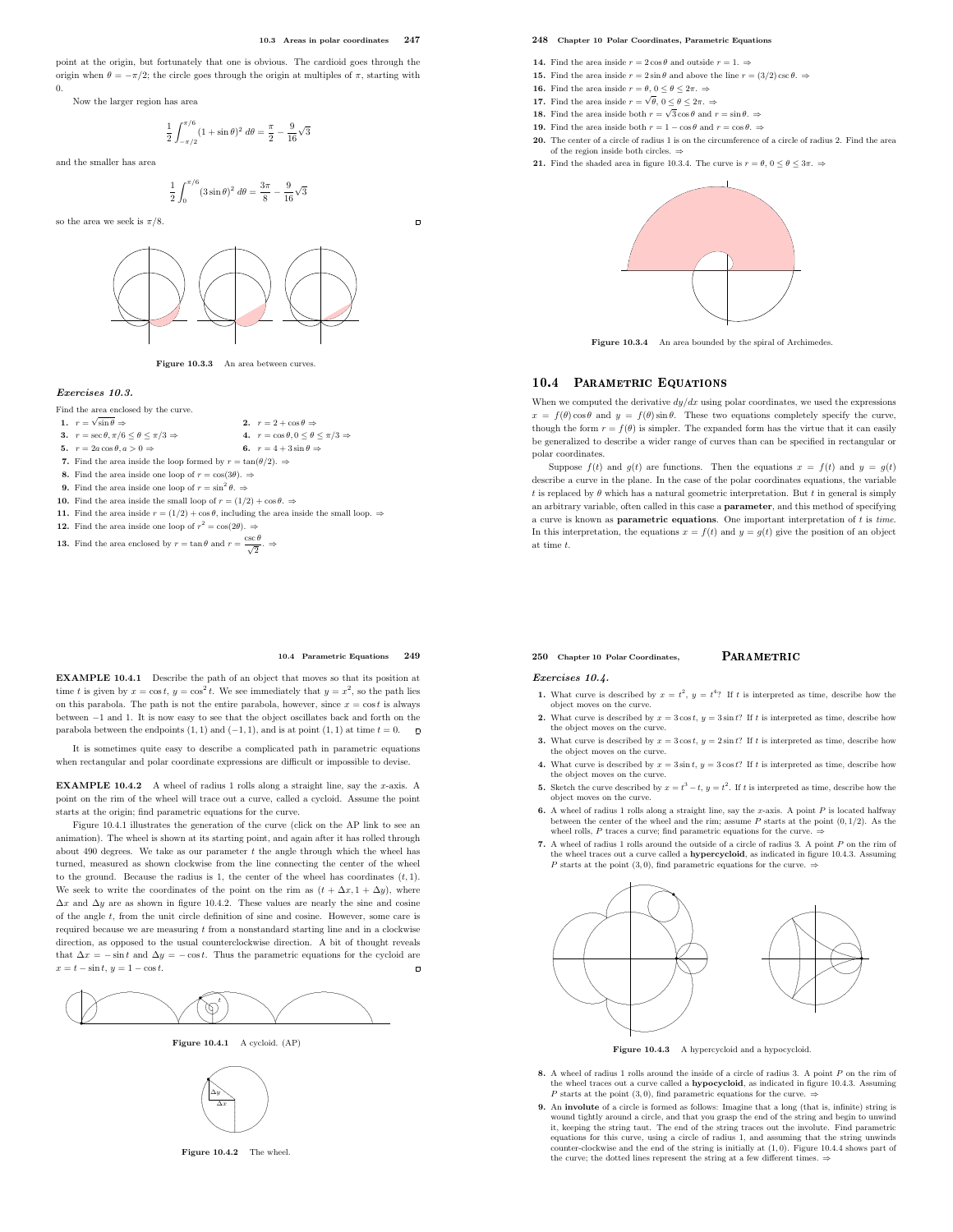$\blacksquare$ 

point at the origin, but fortunately that one is obvious. The cardioid goes through the origin when  $\theta = -\pi/2$ ; the circle goes through the origin at multiples of  $\pi$ , starting with 0.

Now the larger region has area

$$
\frac{1}{2} \int_{-\pi/2}^{\pi/6} (1 + \sin \theta)^2 \ d\theta = \frac{\pi}{2} - \frac{9}{16} \sqrt{3}
$$

and the smaller has area

$$
\frac{1}{2} \int_0^{\pi/6} (3\sin\theta)^2 \ d\theta = \frac{3\pi}{8} - \frac{9}{16}\sqrt{3}
$$

so the area we seek is  $\pi/8$ .



Figure 10.3.3 An area between curves.

## Exercises 10.3.

# Find the area enclosed by the curve.

- 1.  $r = \sqrt{\ }$
- 2.  $r = 2 + \cos \theta \Rightarrow$ <br>4.  $r = \cos \theta, 0 \le \theta \le \pi/3 \Rightarrow$ **3.**  $r = \sec \theta, \pi/6 \le \theta \le \pi/3 \Rightarrow$ <br> **4.**  $r = \cos \theta, 0 \le \theta \le$ <br> **5.**  $r = 2a \cos \theta, a > 0 \Rightarrow$ <br> **6.**  $r = 4 + 3 \sin \theta \Rightarrow$
- 5.  $r = 2a \cos \theta, a > 0 \Rightarrow$
- 7. Find the area inside the loop formed by  $r = \tan(\theta/2)$ . ⇒
- 8. Find the area inside one loop of  $r = \cos(3\theta)$ .  $\Rightarrow$
- **9.** Find the area inside one loop of  $r = \sin^2 \theta$ .
- 10. Find the area inside the small loop of  $r = (1/2) + \cos \theta$ .  $\Rightarrow$
- 11. Find the area inside  $r = (1/2) + \cos \theta$ , including the area inside the small loop.  $\Rightarrow$
- **12.** Find the area inside one loop of  $r^2 = \cos(2\theta)$ .  $\Rightarrow$
- **13.** Find the area enclosed by  $r = \tan \theta$  and  $r = \frac{\csc \theta}{\sqrt{2}}$ .

#### 10.4 Parametric Equations 249

EXAMPLE 10.4.1 Describe the path of an object that moves so that its position at time t is given by  $x = \cos t$ ,  $y = \cos^2 t$ . We see immediately that  $y = x^2$ , so the path lies on this parabola. The path is not the entire parabola, however, since  $x = \cos t$  is always between −1 and 1. It is now easy to see that the object oscillates back and forth on the parabola between the endpoints  $(1, 1)$  and  $(-1, 1)$ , and is at point  $(1, 1)$  at time  $t = 0$ .  $\Box$ 

It is sometimes quite easy to describe a complicated path in parametric equations when rectangular and polar coordinate expressions are difficult or impossible to devise.

**EXAMPLE 10.4.2** A wheel of radius 1 rolls along a straight line, say the x-axis. A point on the rim of the wheel will trace out a curve, called a cycloid. Assume the point starts at the origin; find parametric equations for the curve.

Figure 10.4.1 illustrates the generation of the curve (click on the AP link to see an animation). The wheel is shown at its starting point, and again after it has rolled through about 490 degrees. We take as our parameter  $t$  the angle through which the wheel has turned, measured as shown clockwise from the line connecting the center of the wheel to the ground. Because the radius is 1, the center of the wheel has coordinates  $(t, 1)$ . We seek to write the coordinates of the point on the rim as  $(t + \Delta x, 1 + \Delta y)$ , where  $\Delta x$  and  $\Delta y$  are as shown in figure 10.4.2. These values are nearly the sine and cosine of the angle t, from the unit circle definition of sine and cosine. However, some care is required because we are measuring  $t$  from a nonstandard starting line and in a clockwise direction, as opposed to the usual counterclockwise direction. A bit of thought reveals that  $\Delta x = -\sin t$  and  $\Delta y = -\cos t$ . Thus the parametric equations for the cycloid are  $x - t - \sin t$ ,  $y = 1 - \cos t$  $x = t - \sin t$ ,  $y = 1 - \cos t$ .



Figure 10.4.1 A cycloid. (AP)



Figure 10.4.2 The wheel.

## 248 Chapter 10 Polar Coordinates, Parametric Equations

- **14.** Find the area inside  $r = 2 \cos \theta$  and outside  $r = 1. \Rightarrow$
- **15.** Find the area inside  $r = 2 \sin \theta$  and above the line  $r = (3/2) \csc \theta$ .  $\Rightarrow$
- **16.** Find the area inside  $r = \theta$ ,  $0 \le \theta \le 2\pi$ .  $\Rightarrow$
- **17.** Find the area inside  $r = \sqrt{\theta}$ ,  $0 \le \theta \le 2\pi$ .  $\Rightarrow$
- **18.** Find the area inside both  $r = \sqrt{3} \cos \theta$  and  $r = \sin \theta$ . **19.** Find the area inside both  $r = 1 - \cos \theta$  and  $r = \cos \theta$ .  $\Rightarrow$
- 20. The center of a circle of radius 1 is on the circumference of a circle of radius 2. Find the area of the region inside both circles.  $\Rightarrow$
- **21.** Find the shaded area in figure 10.3.4. The curve is  $r = \theta$ ,  $0 \le \theta \le 3\pi$ .  $\Rightarrow$



Figure 10.3.4 An area bounded by the spiral of Archimedes.

# 10.4 PARAMETRIC EQUATIONS

When we computed the derivative  $dy/dx$  using polar coordinates, we used the expressions  $x = f(\theta) \cos \theta$  and  $y = f(\theta) \sin \theta$ . These two equations completely specify the curve, though the form  $r = f(\theta)$  is simpler. The expanded form has the virtue that it can easily be generalized to describe a wider range of curves than can be specified in rectangular or polar coordinates.

Suppose  $f(t)$  and  $g(t)$  are functions. Then the equations  $x = f(t)$  and  $y = g(t)$ describe a curve in the plane. In the case of the polar coordinates equations, the variable t is replaced by  $\theta$  which has a natural geometric interpretation. But t in general is simply an arbitrary variable, often called in this case a parameter, and this method of specifying a curve is known as **parametric equations**. One important interpretation of  $t$  is time. In this interpretation, the equations  $x = f(t)$  and  $y = g(t)$  give the position of an object at time t.

## $250$  Chapter 10 Polar Coordinates.  $PARAMETRIC$

#### Exercises 10.4.

- 1. What curve is described by  $x = t^2$ ,  $y = t^4$ ? If t is interpreted as time, describe how the object moves on the curve.
- 2. What curve is described by  $x = 3\cos t$ ,  $y = 3\sin t$ ? If t is interpreted as time, describe how the object moves on the curve.
- 3. What curve is described by  $x = 3\cos t$ ,  $y = 2\sin t$ ? If t is interpreted as time, describe how the object moves on the curve. 4. What curve is described by  $x = 3 \sin t$ ,  $y = 3 \cos t$ ? If t is interpreted as time, describe how
- the object moves on the curve. **5.** Sketch the curve described by  $x = t^3 - t$ ,  $y = t^2$ . If t is interpreted as time, describe how the object moves on the curve.
- 6. A wheel of radius 1 rolls along a straight line, say the x-axis. A point  $P$  is located halfway between the center of the wheel and the rim; assume  $P$  starts at the point  $(0, 1/2)$ . As the wheel rolls, P traces a curve; find parametric equations for the curve.  $\Rightarrow$
- 7. A wheel of radius 1 rolls around the outside of a circle of radius 3. A point P on the rim of the wheel traces out a curve called a hypercycloid, as indicated in figure 10.4.3. Assuming  $P$  starts at the point (3,0), find parametric equations for the curve.  $\Rightarrow$



Figure 10.4.3 A hypercycloid and a hypocycloid.

- 8. A wheel of radius 1 rolls around the inside of a circle of radius 3. A point P on the rim of wheel traces out a curve called a hypocycloid, as indicated in figure 10.4.3. Assuming P starts at the point (3, 0), find parametric equations for the curve.  $\Rightarrow$
- 9. An involute of a circle is formed as follows: Imagine that a long (that is, infinite) string is wound tightly around a circle, and that you grasp the end of the string and begin to unwind it, keeping the string taut. The end of the string traces out the involute. Find parametric equations for this curve, using a circle of radius 1, and assuming that the string unwinds counter-clockwise and the end of the string is initially at (1, 0). Figure 10.4.4 shows part of the curve; the dotted lines represent the string at a few different times.  $\Rightarrow$